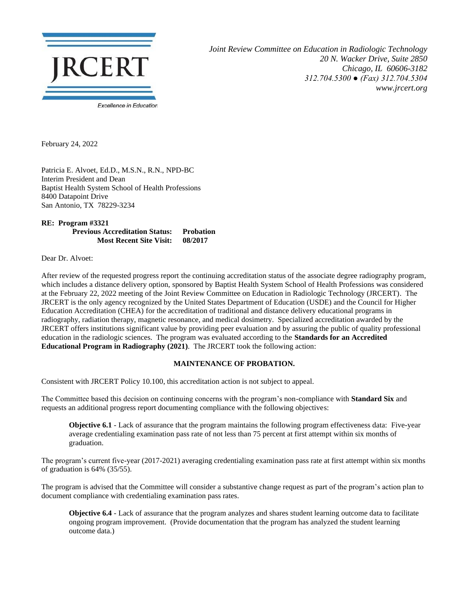

*Joint Review Committee on Education in Radiologic Technology 20 N. Wacker Drive, Suite 2850 Chicago, IL 60606-3182 312.704.5300 ● (Fax) 312.704.5304 www.jrcert.org*

February 24, 2022

Patricia E. Alvoet, Ed.D., M.S.N., R.N., NPD-BC Interim President and Dean Baptist Health System School of Health Professions 8400 Datapoint Drive San Antonio, TX 78229-3234

**RE: Program #3321 Previous Accreditation Status: Probation Most Recent Site Visit: 08/2017**

Dear Dr. Alvoet:

After review of the requested progress report the continuing accreditation status of the associate degree radiography program, which includes a distance delivery option, sponsored by Baptist Health System School of Health Professions was considered at the February 22, 2022 meeting of the Joint Review Committee on Education in Radiologic Technology (JRCERT). The JRCERT is the only agency recognized by the United States Department of Education (USDE) and the Council for Higher Education Accreditation (CHEA) for the accreditation of traditional and distance delivery educational programs in radiography, radiation therapy, magnetic resonance, and medical dosimetry. Specialized accreditation awarded by the JRCERT offers institutions significant value by providing peer evaluation and by assuring the public of quality professional education in the radiologic sciences. The program was evaluated according to the **Standards for an Accredited Educational Program in Radiography (2021)**. The JRCERT took the following action:

## **MAINTENANCE OF PROBATION.**

Consistent with JRCERT Policy 10.100, this accreditation action is not subject to appeal.

The Committee based this decision on continuing concerns with the program's non-compliance with **Standard Six** and requests an additional progress report documenting compliance with the following objectives:

**Objective 6.1** - Lack of assurance that the program maintains the following program effectiveness data: Five-year average credentialing examination pass rate of not less than 75 percent at first attempt within six months of graduation.

The program's current five-year (2017-2021) averaging credentialing examination pass rate at first attempt within six months of graduation is 64% (35/55).

The program is advised that the Committee will consider a substantive change request as part of the program's action plan to document compliance with credentialing examination pass rates.

**Objective 6.4** - Lack of assurance that the program analyzes and shares student learning outcome data to facilitate ongoing program improvement. (Provide documentation that the program has analyzed the student learning outcome data.)